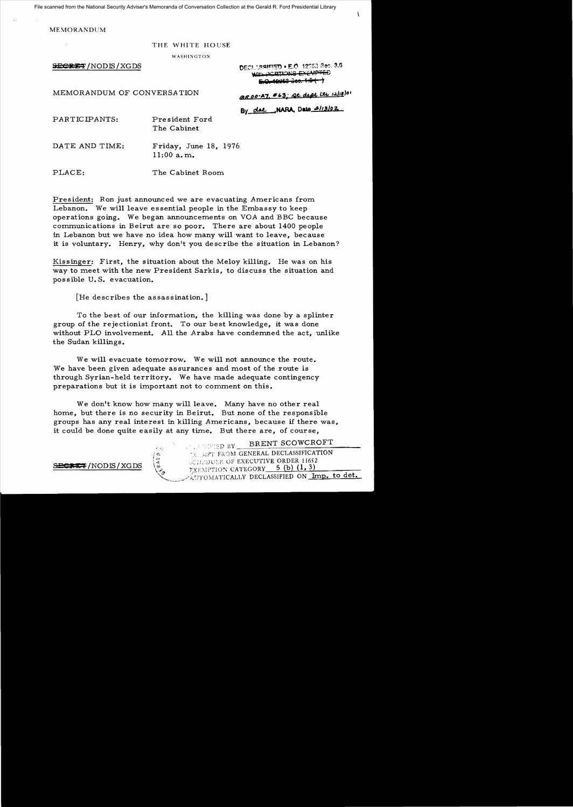File scanned from the National Security Adviser's Memoranda of Conversation Collection at the Gerald R. Ford Presidential Library

MEMORANDUM

## THE WHITE HOUSE

WASHINGTON

SECRET/NODIS/XGDS

DECL^8SIFIED • E.O. 12053 Sec. 3.6 wars DORTIONS EXEMPTED  $5.0.10053 - 366.1.5$ 

MEMORANDUM OF CONVERSATION *(AROO-27, #63; Qt. degt itu 12/12/01)* 

By dae NARA, Data 2/13/02

PARTICIPANTS: President Ford

The Cabinet

DATE AND TIME: Friday, June 18, 1976 11:00 a. m..

PLACE: The Cabinet Room.

President: Ron just announced we are evacuating Americans from Lebanon. We will leave essential people in the Embassy to keep operations going. We began announcements on VOA and BBC because communications in Beirut are so poor. There are about 1400 people in Lebanon but we have no idea how many will want to leave, because it is voluntary. Henry, why don't you describe the situation in Lebanon?

Kissinger: First, the situation about the Meloy killing. He was on his way to meet with the new President Sarkis, to discuss the situation and possible U. S. evacuation.

[He describes the assassination.]

To the best of our information, the killing was done by a splinter group of the rejectionist front. To our best knowledge, it was done without PLO involvement. All the Arabs have condemned the act, unlike the Sudan ki11ings.

We will evacuate tomorrow. We will not announce the route. We have been given adequate assurances and most of the route is through Syrian-held territory. We have made adequate contingency preparations but it is important not to comment on this.

We don't know how many will leave. Many have no other real home, but there is no security in Beirut. But none of the responsible groups has any real interest in killing Americans, because if there was, it could be done quite easily at any time. But there are, of course,

HENT SCOWCROFT , ::::::ED BY \_\_\_\_\_BRENT SCOWCROFT *Ie::;* 'j:,i?'l' prZOM GENERAL DECLASSIFICATION <sup>I</sup>\_J  $BERT/NODIS/XGDS  $\sqrt{\zeta}$ . 1000K/XTION CATEGORY 5 (b) (1,3)$ </u> AUTOMATICALLY DECLASSIFIED ON Imp. to det.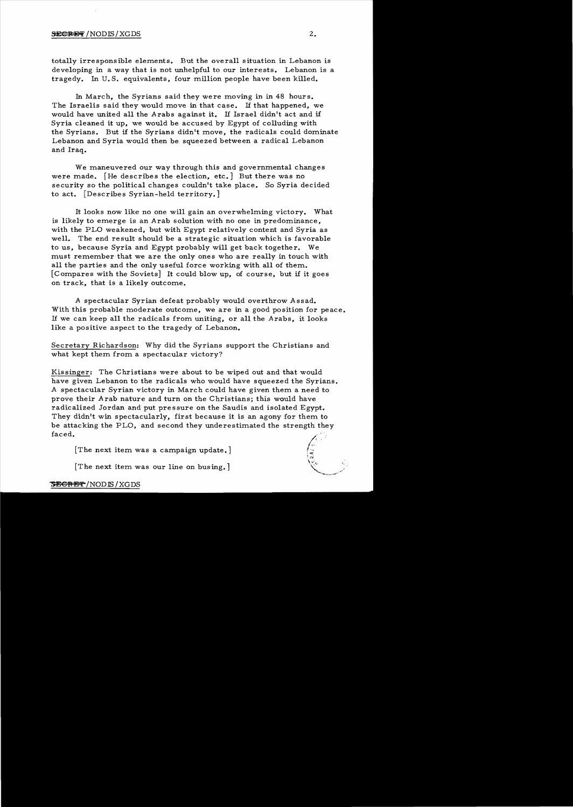## $S\to C\to F$ ' NODIS/XGDS 2.

totally irresponsible elements. But the overall situation in Lebanon is developing in a way that is not unhelpful to our interests. Lebanon is a tragedy. In U.S. equivalents, four million people have been killed.

In March, the Syrians said they were moving in in 48 hours. The Israelis said they would move in that case. If that happened. we would have united all the Arabs against it. If Israel didn't act and if Syria cleaned it up, we would be accused by Egypt of colluding with the Syrians. But if the Syrians didn't move, the radicals could dominate Lebanon and Syria would then be squeezed between a radical Lebanon and Iraq.

We maneuvered our way through this and governmental changes were made. [He describes the election, etc.] But there was no security so the political changes couldn't take place. So Syria decided to act. [Describes Syrian-held territory.]

It looks now like no one will gain an overwhelming victory. What is likely to emerge is an Arab solution with no one in predominance. with the PLO weakened, but with Egypt relatively content and Syria as well. The end result should be a strategic situation which is favorable to us, because Syria and Egypt probably will get back together. We must remember that we are the only ones who are really in touch with all the parties and the only useful force working with all of them. [Compares with the Soviets] It could blow up, of course, but if it goes on track, that is a likely outcome.

A spectacular Syrian defeat probably would overthrow Assad. With this probable moderate outcome, we are in a good position for peace. If we can keep all the radicals from uniting, or all the Arabs, it looks like a positive aspect to the tragedy of Lebanon.

Secretary Richardson: Why did the Syrians support the Christians and what kept them from a spectacular victory?

Kissinger: The Christians were about to be wiped out and that would have given Lebanon to the radicals who would have squeezed the Syrians. A spectacular Syrian victory in March could have given them a need to prove their Arab nature and turn on the Christians; this would have radicalized Jordan and put pressure on the Saudis and isolated Egypt. They didn't win spectacularly, first because it is an agony for them to be attacking the PLO, and second they underestimated the strength they faced.

[The next item was a campaign update.]

[The next item was our line on busing.]

## <del>SECRET</del>/NODIS/XGDS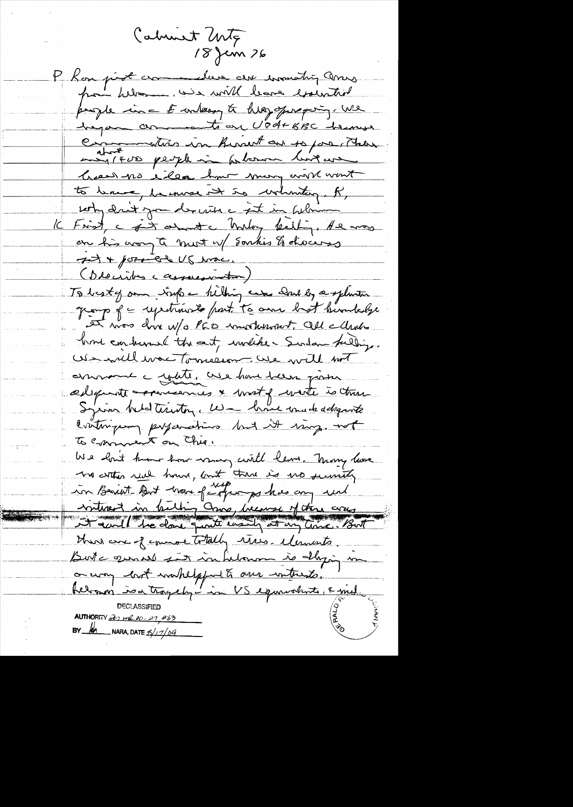Calment Unte 18 Jen 26 P Kon prot crommediere au incondition avers pour belon un will leave executive people in = E unlessy to help operaging. We hapan comments en Vodt BBC hermes Communities in hirsent out to pas There maritaire peuple in patience biogues hear no eller hun mon annem to lene , la mose at to whenter, R, soty drit you de visa a set in believe K Frist, c and c Malay kelling, He was on his accepte most up Sontis & chocars It + port et US was. (Describes cassussmetin) To besty and trip a hilling was done by a splenter group of = repetitions to part to once but burnledge et vos dove W/s PCD involutions, All Martis brond condumnal the east, workede Surdan fulling. US will was Tomesion We will not annonce a yette, use have been poster ædequate verniennes & most of water is then contriguing proparation but it ming. not To comment on Chie. We had thour how many will leave. Many home no cettes real hours, and there is no security in Beaut But work fargungs has any und vittre à bitting avec liveurs of the cray Hur are of common totally rives. Memosts. But a greated sit inhelow is daying in o way lost washelpful to one writerate. belooner is a tragely - in VS equivalents, & mel **AUTHORITY** 21 ml 00-27 463 NARA, DATE  $\frac{5}{1209}$  $BY$   $M$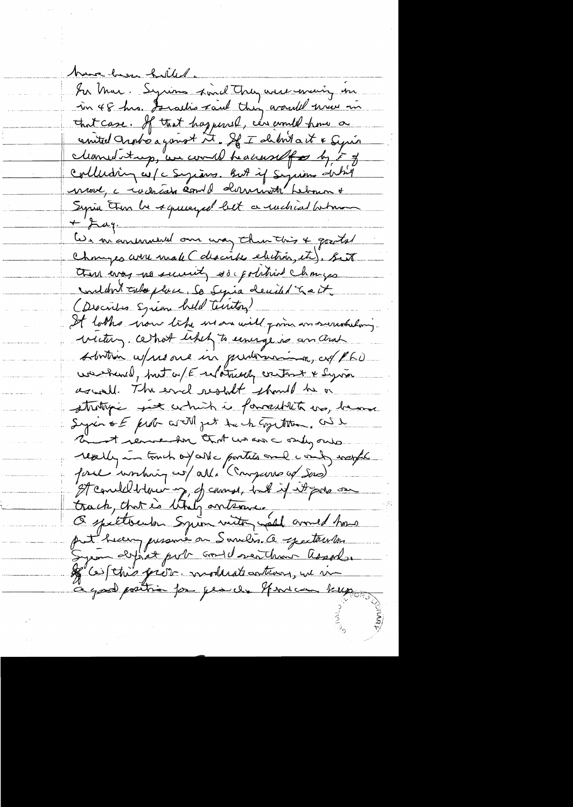have how holled. In Mar. Syrious sind They were evening in in 48 hrs. Is action taul they would were in that case. If that happened, can comed home a counted Indre a gonot it. If I show to it & Syric cleaned trop, are comed headers of F of collecting w/c Sugians. But if Sysians duties noue, c radicate comme dernierte hebourne Syria tron be squeeyed bet a rached between  $\mu$ Les m'anuneaux our man thurthis & goods Chonges arre male ( describe electric, etc). Seit there every no security so political changes und don't calo place, So Sepia decided to a it. (Describes Syrian held Tentor) It looks wow like us an will form an seriouslang victur, cettot likely to uninge is an and solution w/ resource in guidemondan, as PLD washind, but of E relatively contact & Syria againell. The ericl restalt should be a stratific six which is formatility us, hear Syrin & E prob artM jet the change them, and h and remember that we are andy one really in tomich of conte parties and comby weaple force involving co/alla "(Compares af Sas) It concluded their my, of counse, had if it pour one track, that is thirty antenne. Comed how com define port condeterant association Je constant proven moderation pu un à good positrio for per de Novem kep